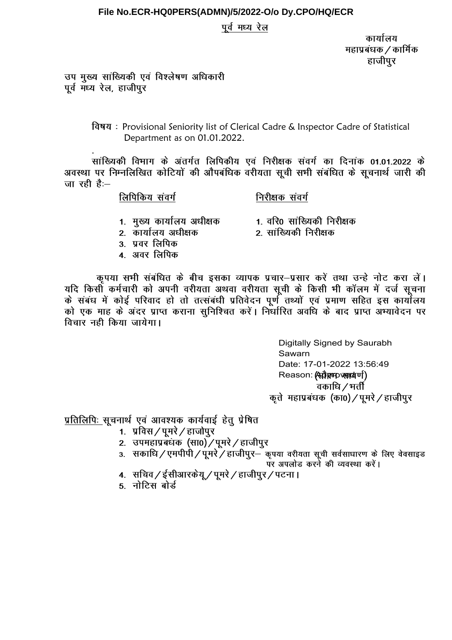### पूर्व मध्य रेल

कार्यालय महाप्रबंधक / कार्मिक हाजीपुर

उप मुख्य सांख्यिकी एवं विश्लेषण अधिकारी पूर्व मध्य रेल, हाजीपुर

> विषय: Provisional Seniority list of Clerical Cadre & Inspector Cadre of Statistical Department as on 01.01.2022.

सांख्यिकी विभाग के अंतर्गत लिपिकीय एवं निरीक्षक संवर्ग का दिनांक 01.01.2022 के .<br>अवस्था पर निम्नलिखित कोटियों की औपबंधिक वरीयता सूची सभी संबंधित के सूचनार्थ जारी की जा रही है:—

लिपिकिय संवर्ग

निरीक्षक संवर्ग

- 1. मुख्य कार्यालय अधीक्षक
- 1. वरि0 सांख्यिकी निरीक्षक 2. सांख्यिकी निरीक्षक
- 2. कार्यालय अधीक्षक
- 3. प्रवर लिपिक
- 4. अवर लिपिक
- कृपया सभी संबंधित के बीच इसका व्यापक प्रचार-प्रसार करें तथा उन्हे नोट करा लें। यदि किसी कर्मचारी को अपनी वरीयता अथवा वरीयता सूची के किसी भी कॉलम में दर्ज सूचना को एक माह के अंदर प्राप्त कराना सुनिश्चित करें। निर्धारित अवधि के बाद प्राप्त अभ्यावेदन पर विचार नही किया जायेगा।

Digitally Signed by Saurabh Sawarn Date: 17-01-2022 13:56:49 Reason: (सर्वेष्ट्रम् एसप्रयाणी) वकाधि / भर्ती कृते महाप्रबंधक (का0) / पूमरे / हाजीपुर

प्रतिलिपिः सूचनार्थ एवं आवश्यक कार्यवाई हेत् प्रेषित

- 1. प्रविस / पुमरे / हाजोपुर
- 2. उपमहाप्रबंधक (सा0) / पूमरे / हाजीपुर
- 3. सकाधि / एमपीपी / पूमरे / हाजीपुर- कृपया वरीयता सूची सर्वसाधारण के लिए वेवसाइड पर अपलोड करने की व्यवस्था करें।
- 4. सचिव / ईसीआरकेयू / पुमरे / हाजीपूर / पटना।
- 5. नोटिस बोर्ड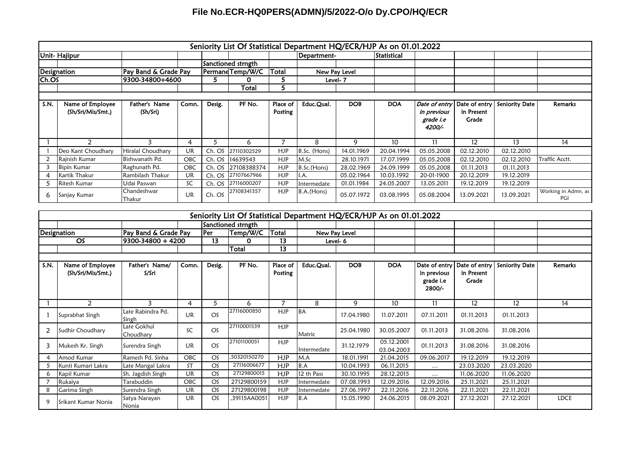|       |                                       |                           |            |        | Seniority List Of Statistical Department HQ/ECR/HJP As on 01.01.2022 |                     |               |            |             |                                                     |                     |                              |                            |
|-------|---------------------------------------|---------------------------|------------|--------|----------------------------------------------------------------------|---------------------|---------------|------------|-------------|-----------------------------------------------------|---------------------|------------------------------|----------------------------|
|       | Unit-Hajipur                          |                           |            |        |                                                                      |                     | Department-   |            | Statistical |                                                     |                     |                              |                            |
|       |                                       |                           |            |        | Sanctioned strngth                                                   |                     |               |            |             |                                                     |                     |                              |                            |
|       | <b>Designation</b>                    | Pay Band & Grade Pay      |            |        | PermaneTemp/W/C                                                      | Total               | New Pay Level |            |             |                                                     |                     |                              |                            |
| Ch.OS |                                       | 9300-34800+4600           |            | 5.     | 0                                                                    | ∍                   |               | Level-7    |             |                                                     |                     |                              |                            |
|       |                                       |                           |            |        | Total                                                                | 5                   |               |            |             |                                                     |                     |                              |                            |
|       |                                       |                           |            |        |                                                                      |                     |               |            |             |                                                     |                     |                              |                            |
| S.N.  | Name of Employee<br>(Sh/Sri/Mis/Smt.) | Father's Name<br>(Sh/Sri) | Comn.      | Desig. | PF No.                                                               | Place of<br>Posting | Educ.Qual.    | <b>DOB</b> | <b>DOA</b>  | Date of entry<br>in previous<br>grade i.e<br>4200/- | in Present<br>Grade | Date of entry Seniority Date | Remarks                    |
|       | $\mathcal{P}$                         | 3                         | 4          | ∍      | 6                                                                    |                     | 8             | 9          | 10          | 11                                                  | 12                  | 13                           | 14                         |
|       | Deo Kant Choudhary                    | Hiralal Choudhary         | UR         |        | Ch. OS 27110302529                                                   | <b>HJP</b>          | B.Sc. (Hons)  | 14.01.1969 | 20.04.1994  | 05.05.2008                                          | 02.12.2010          | 02.12.2010                   |                            |
|       | Rajnish Kumar                         | Bishwanath Pd.            | OBC        |        | Ch. OS 14639543                                                      | <b>HJP</b>          | M.Sc          | 28.10.1971 | 17.07.1999  | 05.05.2008                                          | 02.12.2010          | 02.12.2010                   | Traffic Acctt.             |
|       | <b>Bipin Kumar</b>                    | Raghunath Pd.             | <b>OBC</b> |        | Ch. OS 27108388374                                                   | <b>HJP</b>          | B.Sc. (Hons)  | 28.02.1969 | 24.09.1999  | 05.05.2008                                          | 01.11.2013          | 01.11.2013                   |                            |
| 4     | Kartik Thakur                         | Rambilash Thakur          | UR         | Ch. OS | 27107667966                                                          | <b>HJP</b>          | II.A.         | 05.02.1964 | 10.03.1992  | 20-01-1900                                          | 20.12.2019          | 19.12.2019                   |                            |
| 5     | Ritesh Kumar                          | Udai Paswan               | SC         | Ch. OS | 27116000207                                                          | <b>HJP</b>          | Intermedate   | 01.01.1984 | 24.05.2007  | 13.05.2011                                          | 19.12.2019          | 19.12.2019                   |                            |
| 6     | Sanjay Kumar                          | Chandeshwar<br>Thakur     | <b>UR</b>  | Ch. OS | 27108341357                                                          | <b>HJP</b>          | B.A.(Hons)    | 05.07.1972 | 03.08.1995  | 05.08.2004                                          | 13.09.2021          | 13.09.2021                   | Working in Admn. as<br>PGI |

|      | Seniority List Of Statistical Department HQ/ECR/HJP As on 01.01.2022 |                            |           |        |                    |            |             |               |                          |                          |                     |                              |                |
|------|----------------------------------------------------------------------|----------------------------|-----------|--------|--------------------|------------|-------------|---------------|--------------------------|--------------------------|---------------------|------------------------------|----------------|
|      |                                                                      |                            |           |        | Sanctioned strngth |            |             |               |                          |                          |                     |                              |                |
|      | Designation                                                          | Pay Band & Grade Pay       |           | l Per  | Temp/W/C           | Total      |             | New Pay Level |                          |                          |                     |                              |                |
|      | <b>OS</b>                                                            | l9300-34800 + 4200         |           | 13     | 0                  | 13         |             | Level-6       |                          |                          |                     |                              |                |
|      |                                                                      |                            |           |        | Total              | 13         |             |               |                          |                          |                     |                              |                |
|      |                                                                      |                            |           |        |                    |            |             |               |                          |                          |                     |                              |                |
| S.N. | Name of Employee                                                     | Father's Name/             | Comn.     | Desig. | PF No.             | Place of   | Educ.Qual.  | <b>DOB</b>    | <b>DOA</b>               | Date of entry            |                     | Date of entry Seniority Date | <b>Remarks</b> |
|      | (Sh/Sri/Mis/Smt.)                                                    | S/Sri                      |           |        |                    | Posting    |             |               |                          | in previous<br>grade i.e | in Present<br>Grade |                              |                |
|      |                                                                      |                            |           |        |                    |            |             |               |                          | 2800/-                   |                     |                              |                |
|      | 2                                                                    | 3                          | 4         | 5      | 6                  | 7          | 8           | 9             | 10 <sup>°</sup>          | 11                       | 12                  | 12                           | 14             |
|      | Suprabhat Singh                                                      | Late Rabindra Pd.<br>Singh | <b>UR</b> | OS     | 27116000850        | <b>HJP</b> | <b>BA</b>   | 17.04.1980    | 11.07.2011               | 07.11.2011               | 01.11.2013          | 01.11.2013                   |                |
| 2    | Sudhir Choudhary                                                     | Late Gokhul<br>Choudhary   | SC        | OS     | 27110001539        | HJP        | Matric      | 25.04.1980    | 30.05.2007               | 01.11.2013               | 31.08.2016          | 31.08.2016                   |                |
| 3    | Mukesh Kr. Singh                                                     | Surendra Singh             | <b>UR</b> | OS     | 27101100051        | <b>HJP</b> | Intermedate | 31.12.1979    | 05.12.2001<br>03.04.2003 | 01.11.2013               | 31.08.2016          | 31.08.2016                   |                |
|      | Amod Kumar                                                           | Ramesh Pd. Sinha           | OBC       | OS     | ,50320150270       | <b>HJP</b> | M.A         | 18.01.1991    | 21.04.2015               | 09.06.2017               | 19.12.2019          | 19.12.2019                   |                |
|      | Kunti Kumari Lakra                                                   | Late Mangal Lakra          | SΤ        | OS     | 27116006677        | <b>HJP</b> | B.A         | 10.04.1993    | 06.11.2015               | $\cdots$                 | 23.03.2020          | 23.03.2020                   |                |
| 6    | Kapil Kumar                                                          | Sh. Jagdish Singh          | <b>UR</b> | OS     | 27129800015        | <b>HJP</b> | 12 th Pass  | 30.10.1995    | 28.12.2015               | $\cdots$                 | 11.06.2020          | 11.06.2020                   |                |
|      | Rukaiya                                                              | Tarabuddin                 | OBC       | OS     | 27129800159        | HJP        | Intermedate | 07.08.1993    | 12.09.2016               | 12.09.2016               | 25.11.2021          | 25.11.2021                   |                |
| 8    | Garima Singh                                                         | Surendra Singh             | <b>UR</b> | OS     | 27129800198        | <b>HJP</b> | Intermedate | 27.06.1997    | 22.11.2016               | 22.11.2016               | 22.11.2021          | 22.11.2021                   |                |
| 9    | Srikant Kumar Nonia                                                  | Satya Narayan<br>Nonia     | <b>UR</b> | OS     | .39115AA0051       | <b>HJP</b> | B.A         | 15.05.1990    | 24.06.2015               | 08.09.2021               | 27.12.2021          | 27.12.2021                   | <b>LDCE</b>    |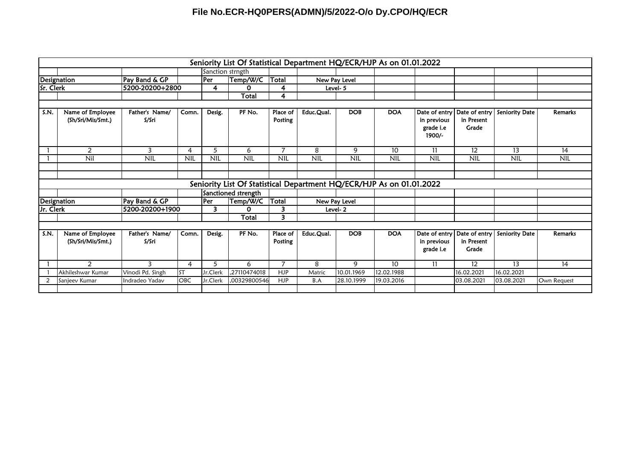|           |                                       |                         |            |                         | Seniority List Of Statistical Department HQ/ECR/HJP As on 01.01.2022 |                     |            |               |                 |                                                     |                                      |                |                |
|-----------|---------------------------------------|-------------------------|------------|-------------------------|----------------------------------------------------------------------|---------------------|------------|---------------|-----------------|-----------------------------------------------------|--------------------------------------|----------------|----------------|
|           |                                       |                         |            | Sanction strngth        |                                                                      |                     |            |               |                 |                                                     |                                      |                |                |
|           | Designation                           | Pay Band & GP           |            | <b>Per</b>              | Temp/W/C                                                             | Total               |            | New Pay Level |                 |                                                     |                                      |                |                |
| Sr. Clerk |                                       | 5200-20200+2800         |            | 4                       | 0                                                                    | 4                   |            | Level- 5      |                 |                                                     |                                      |                |                |
|           |                                       |                         |            |                         | Total                                                                | 4                   |            |               |                 |                                                     |                                      |                |                |
|           |                                       |                         |            |                         |                                                                      |                     |            |               |                 |                                                     |                                      |                |                |
| S.N.      | Name of Employee<br>(Sh/Sri/Mis/Smt.) | Father's Name/<br>S/Sri | Comn.      | Desig.                  | PF No.                                                               | Place of<br>Posting | Educ.Qual. | <b>DOB</b>    | <b>DOA</b>      | Date of entry<br>in previous<br>grade i.e<br>1900/- | Date of entry<br>in Present<br>Grade | Seniority Date | <b>Remarks</b> |
|           | $\overline{2}$                        | 3                       | 4          | 5                       | 6                                                                    | 7                   | 8          | 9             | 10 <sup>°</sup> | 11                                                  | 12                                   | 13             | 14             |
|           | Nil                                   | <b>NIL</b>              | <b>NIL</b> | <b>NIL</b>              | <b>NIL</b>                                                           | <b>NIL</b>          | <b>NIL</b> | <b>NIL</b>    | <b>NIL</b>      | <b>NIL</b>                                          | <b>NIL</b>                           | <b>NIL</b>     | <b>NIL</b>     |
|           |                                       |                         |            |                         |                                                                      |                     |            |               |                 |                                                     |                                      |                |                |
|           |                                       |                         |            |                         |                                                                      |                     |            |               |                 |                                                     |                                      |                |                |
|           |                                       |                         |            |                         | Seniority List Of Statistical Department HQ/ECR/HJP As on 01.01.2022 |                     |            |               |                 |                                                     |                                      |                |                |
|           |                                       |                         |            |                         | Sanctioned strength                                                  |                     |            |               |                 |                                                     |                                      |                |                |
|           | <b>Designation</b>                    | Pay Band & GP           |            | Per                     | Temp/W/C                                                             | Total               |            | New Pay Level |                 |                                                     |                                      |                |                |
| Jr. Clerk |                                       | 5200-20200+1900         |            | $\overline{\mathbf{3}}$ | 0                                                                    | 3                   |            | Level-2       |                 |                                                     |                                      |                |                |
|           |                                       |                         |            |                         | Total                                                                | 3                   |            |               |                 |                                                     |                                      |                |                |
|           |                                       |                         |            |                         |                                                                      |                     |            |               |                 |                                                     |                                      |                |                |
| S.N.      | Name of Employee<br>(Sh/Sri/Mis/Smt.) | Father's Name/<br>S/Sri | Comn.      | Desig.                  | PF No.                                                               | Place of<br>Posting | Educ.Qual. | <b>DOB</b>    | <b>DOA</b>      | Date of entry<br>in previous<br>grade i.e           | Date of entry<br>in Present<br>Grade | Seniority Date | <b>Remarks</b> |
|           | $\mathcal{L}$                         | 3                       | 4          | 5                       | 6                                                                    | 7                   | 8          | 9             | 10              | -11                                                 | 12                                   | 13             | 14             |
|           | Akhileshwar Kumar                     | Vinodi Pd. Singh        | <b>ST</b>  | Jr.Clerk                | ,27110474018                                                         | <b>HJP</b>          | Matric     | 10.01.1969    | 12.02.1988      |                                                     | 16.02.2021                           | 16.02.2021     |                |
| 2         | Sanjeev Kumar                         | Indradeo Yadav          | OBC        | Jr.Clerk                | .00329800546                                                         | <b>HJP</b>          | B.A        | 28.10.1999    | 19.03.2016      |                                                     | 03.08.2021                           | 03.08.2021     | Own Request    |
|           |                                       |                         |            |                         |                                                                      |                     |            |               |                 |                                                     |                                      |                |                |